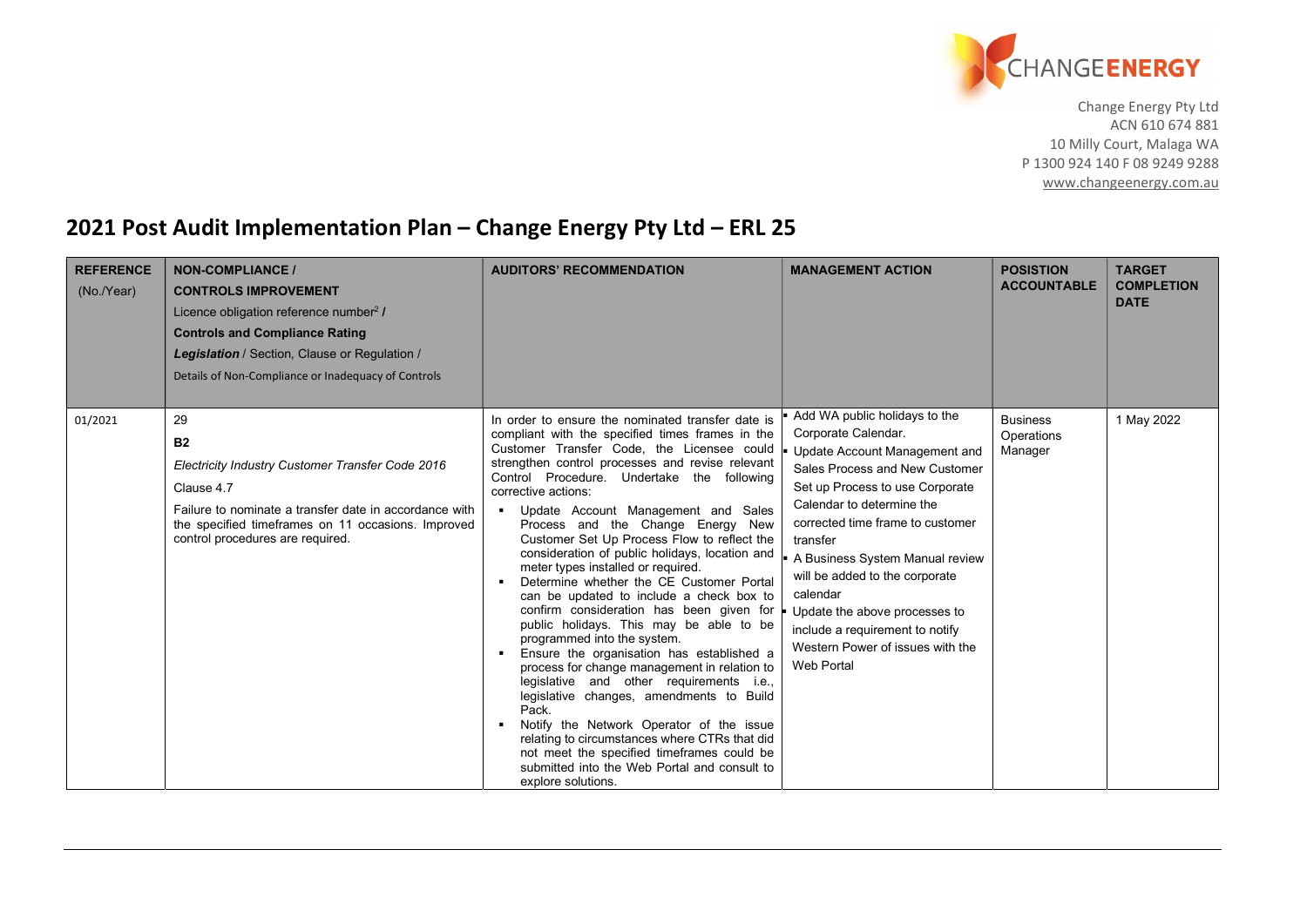

Change Energy Pty Ltd ACN 610 674 881 10 Milly Court, Malaga WA P 1300 924 140 F 08 9249 9288 www.changeenergy.com.au

## 2021 Post Audit Implementation Plan – Change Energy Pty Ltd – ERL 25

| <b>REFERENCE</b><br>$(No.$ $Year)$ | <b>NON-COMPLIANCE /</b><br><b>CONTROLS IMPROVEMENT</b><br>Licence obligation reference number <sup>2</sup> /<br><b>Controls and Compliance Rating</b><br>Legislation / Section, Clause or Regulation /<br>Details of Non-Compliance or Inadequacy of Controls | <b>AUDITORS' RECOMMENDATION</b>                                                                                                                                                                                                                                                                                                                                                                                                                                                                                                                                                                                                                                                                                                                                                                                                                                                                                                                                                                                                                                                                                                                                  | <b>MANAGEMENT ACTION</b>                                                                                                                                                                                                                                                                                                                                                                                                                              | <b>POSISTION</b><br><b>ACCOUNTABLE</b>   | <b>TARGET</b><br><b>COMPLETION</b><br><b>DATE</b> |
|------------------------------------|---------------------------------------------------------------------------------------------------------------------------------------------------------------------------------------------------------------------------------------------------------------|------------------------------------------------------------------------------------------------------------------------------------------------------------------------------------------------------------------------------------------------------------------------------------------------------------------------------------------------------------------------------------------------------------------------------------------------------------------------------------------------------------------------------------------------------------------------------------------------------------------------------------------------------------------------------------------------------------------------------------------------------------------------------------------------------------------------------------------------------------------------------------------------------------------------------------------------------------------------------------------------------------------------------------------------------------------------------------------------------------------------------------------------------------------|-------------------------------------------------------------------------------------------------------------------------------------------------------------------------------------------------------------------------------------------------------------------------------------------------------------------------------------------------------------------------------------------------------------------------------------------------------|------------------------------------------|---------------------------------------------------|
| 01/2021                            | 29<br><b>B2</b><br>Electricity Industry Customer Transfer Code 2016<br>Clause 4.7<br>Failure to nominate a transfer date in accordance with<br>the specified timeframes on 11 occasions. Improved<br>control procedures are required.                         | In order to ensure the nominated transfer date is<br>compliant with the specified times frames in the<br>Customer Transfer Code, the Licensee could<br>strengthen control processes and revise relevant<br>Control Procedure. Undertake the following<br>corrective actions:<br>Update Account Management and Sales<br>$\blacksquare$<br>Process and the Change Energy New<br>Customer Set Up Process Flow to reflect the<br>consideration of public holidays, location and<br>meter types installed or required.<br>Determine whether the CE Customer Portal<br>can be updated to include a check box to<br>confirm consideration has been given for<br>public holidays. This may be able to be<br>programmed into the system.<br>Ensure the organisation has established a<br>$\blacksquare$<br>process for change management in relation to<br>legislative and other requirements i.e.,<br>legislative changes, amendments to Build<br>Pack.<br>Notify the Network Operator of the issue<br>relating to circumstances where CTRs that did<br>not meet the specified timeframes could be<br>submitted into the Web Portal and consult to<br>explore solutions. | Add WA public holidays to the<br>Corporate Calendar.<br>Update Account Management and<br>Sales Process and New Customer<br>Set up Process to use Corporate<br>Calendar to determine the<br>corrected time frame to customer<br>transfer<br>A Business System Manual review<br>will be added to the corporate<br>calendar<br>Update the above processes to<br>include a requirement to notify<br>Western Power of issues with the<br><b>Web Portal</b> | <b>Business</b><br>Operations<br>Manager | 1 May 2022                                        |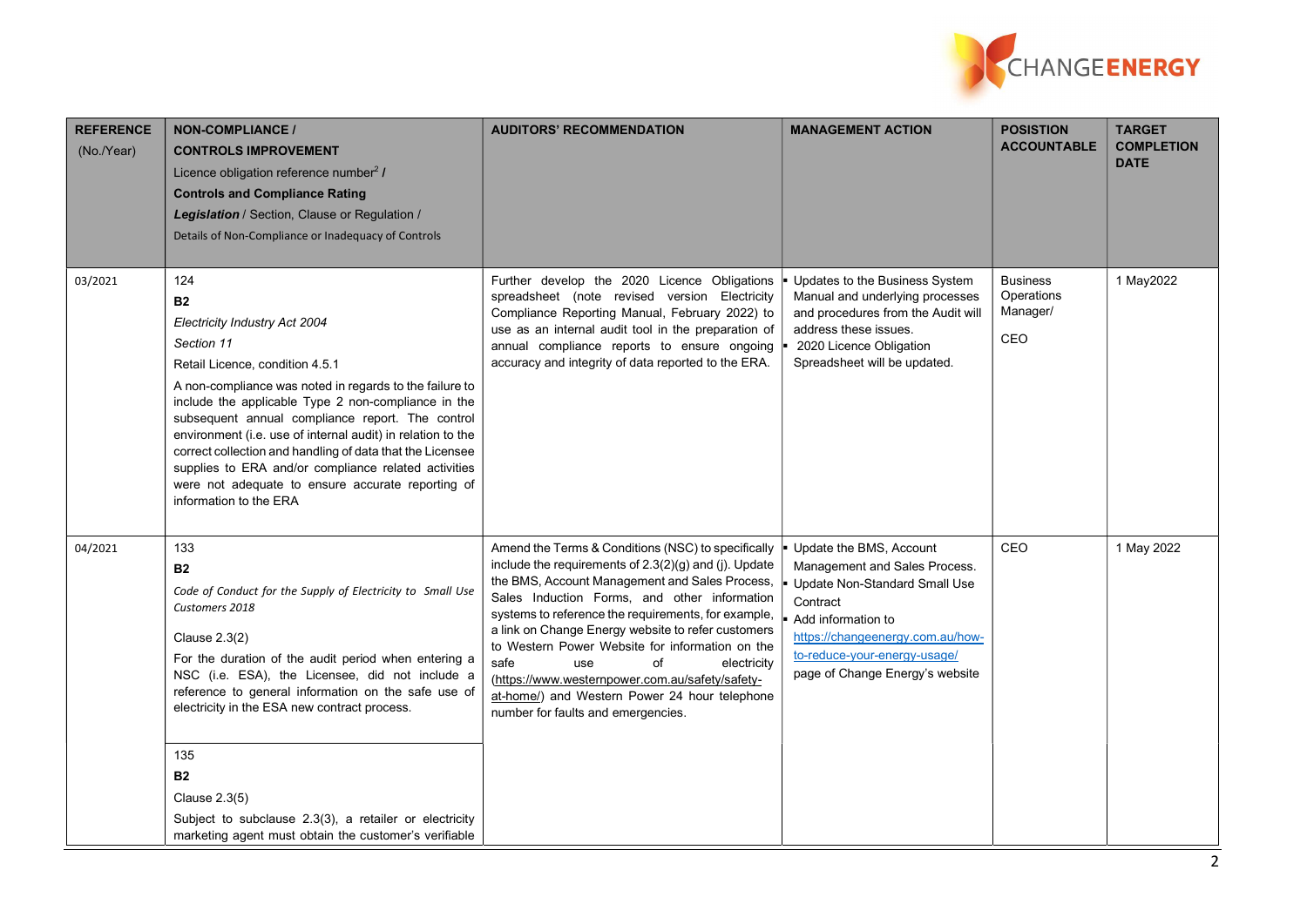

| <b>REFERENCE</b><br>(No./Year) | <b>NON-COMPLIANCE /</b><br><b>CONTROLS IMPROVEMENT</b><br>Licence obligation reference number <sup>2</sup> /<br><b>Controls and Compliance Rating</b><br>Legislation / Section, Clause or Regulation /<br>Details of Non-Compliance or Inadequacy of Controls                                                                                                                                                                                                                                                                               | <b>AUDITORS' RECOMMENDATION</b>                                                                                                                                                                                                                                                                                                                                                                                                                                                                                                                             | <b>MANAGEMENT ACTION</b>                                                                                                                                                                                                           | <b>POSISTION</b><br><b>ACCOUNTABLE</b>           | <b>TARGET</b><br><b>COMPLETION</b><br><b>DATE</b> |
|--------------------------------|---------------------------------------------------------------------------------------------------------------------------------------------------------------------------------------------------------------------------------------------------------------------------------------------------------------------------------------------------------------------------------------------------------------------------------------------------------------------------------------------------------------------------------------------|-------------------------------------------------------------------------------------------------------------------------------------------------------------------------------------------------------------------------------------------------------------------------------------------------------------------------------------------------------------------------------------------------------------------------------------------------------------------------------------------------------------------------------------------------------------|------------------------------------------------------------------------------------------------------------------------------------------------------------------------------------------------------------------------------------|--------------------------------------------------|---------------------------------------------------|
| 03/2021                        | 124<br><b>B2</b><br>Electricity Industry Act 2004<br>Section 11<br>Retail Licence, condition 4.5.1<br>A non-compliance was noted in regards to the failure to<br>include the applicable Type 2 non-compliance in the<br>subsequent annual compliance report. The control<br>environment (i.e. use of internal audit) in relation to the<br>correct collection and handling of data that the Licensee<br>supplies to ERA and/or compliance related activities<br>were not adequate to ensure accurate reporting of<br>information to the ERA | Further develop the 2020 Licence Obligations<br>spreadsheet (note revised version Electricity<br>Compliance Reporting Manual, February 2022) to<br>use as an internal audit tool in the preparation of<br>annual compliance reports to ensure ongoing<br>accuracy and integrity of data reported to the ERA.                                                                                                                                                                                                                                                | Updates to the Business System<br>Manual and underlying processes<br>and procedures from the Audit will<br>address these issues.<br>2020 Licence Obligation<br>Spreadsheet will be updated.                                        | <b>Business</b><br>Operations<br>Manager/<br>CEO | 1 May2022                                         |
| 04/2021                        | 133<br><b>B2</b><br>Code of Conduct for the Supply of Electricity to Small Use<br>Customers 2018<br>Clause 2.3(2)<br>For the duration of the audit period when entering a<br>NSC (i.e. ESA), the Licensee, did not include a<br>reference to general information on the safe use of<br>electricity in the ESA new contract process.<br>135<br><b>B2</b><br>Clause 2.3(5)<br>Subject to subclause 2.3(3), a retailer or electricity<br>marketing agent must obtain the customer's verifiable                                                 | Amend the Terms & Conditions (NSC) to specifically<br>include the requirements of 2.3(2)(g) and (j). Update<br>the BMS, Account Management and Sales Process,<br>Sales Induction Forms, and other information<br>systems to reference the requirements, for example,<br>a link on Change Energy website to refer customers<br>to Western Power Website for information on the<br>of<br>safe<br>use<br>electricity<br>(https://www.westernpower.com.au/safety/safety-<br>at-home/) and Western Power 24 hour telephone<br>number for faults and emergencies. | Update the BMS, Account<br>Management and Sales Process.<br>Update Non-Standard Small Use<br>Contract<br>Add information to<br>https://changeenergy.com.au/how-<br>to-reduce-your-energy-usage/<br>page of Change Energy's website | CEO                                              | 1 May 2022                                        |